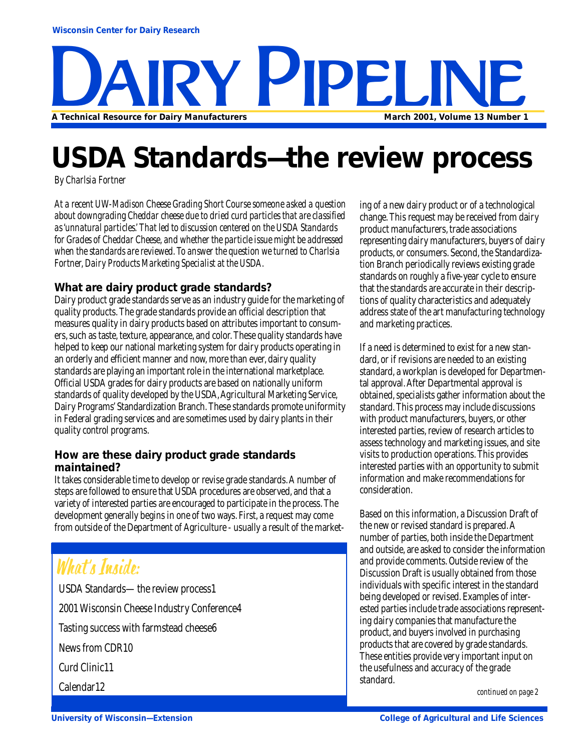

# **USDA Standards—the review process**

*By Charlsia Fortner*

*At a recent UW-Madison Cheese Grading Short Course someone asked a question about downgrading Cheddar cheese due to dried curd particles that are classified as 'unnatural particles.' That led to discussion centered on the USDA Standards for Grades of Cheddar Cheese, and whether the particle issue might be addressed when the standards are reviewed. To answer the question we turned to Charlsia Fortner, Dairy Products Marketing Specialist at the USDA.*

#### **What are dairy product grade standards?**

Dairy product grade standards serve as an industry guide for the marketing of quality products. The grade standards provide an official description that measures quality in dairy products based on attributes important to consumers, such as taste, texture, appearance, and color. These quality standards have helped to keep our national marketing system for dairy products operating in an orderly and efficient manner and now, more than ever, dairy quality standards are playing an important role in the international marketplace. Official USDA grades for dairy products are based on nationally uniform standards of quality developed by the USDA, Agricultural Marketing Service, Dairy Programs' Standardization Branch. These standards promote uniformity in Federal grading services and are sometimes used by dairy plants in their quality control programs.

#### **How are these dairy product grade standards maintained?**

It takes considerable time to develop or revise grade standards. A number of steps are followed to ensure that USDA procedures are observed, and that a variety of interested parties are encouraged to participate in the process. The development generally begins in one of two ways. First, a request may come from outside of the Department of Agriculture - usually a result of the market-

### What's Inside:

USDA Standards—the review process1 2001 Wisconsin Cheese Industry Conference4 Tasting success with farmstead cheese6 News from CDR10 Curd Clinic11 Calendar12

ing of a new dairy product or of a technological change. This request may be received from dairy product manufacturers, trade associations representing dairy manufacturers, buyers of dairy products, or consumers. Second, the Standardization Branch periodically reviews existing grade standards on roughly a five-year cycle to ensure that the standards are accurate in their descriptions of quality characteristics and adequately address state of the art manufacturing technology and marketing practices.

If a need is determined to exist for a new standard, or if revisions are needed to an existing standard, a workplan is developed for Departmental approval. After Departmental approval is obtained, specialists gather information about the standard. This process may include discussions with product manufacturers, buyers, or other interested parties, review of research articles to assess technology and marketing issues, and site visits to production operations. This provides interested parties with an opportunity to submit information and make recommendations for consideration.

Based on this information, a Discussion Draft of the new or revised standard is prepared. A number of parties, both inside the Department and outside, are asked to consider the information and provide comments. Outside review of the Discussion Draft is usually obtained from those individuals with specific interest in the standard being developed or revised. Examples of interested parties include trade associations representing dairy companies that manufacture the product, and buyers involved in purchasing products that are covered by grade standards. These entities provide very important input on the usefulness and accuracy of the grade standard.

*continued on page 2*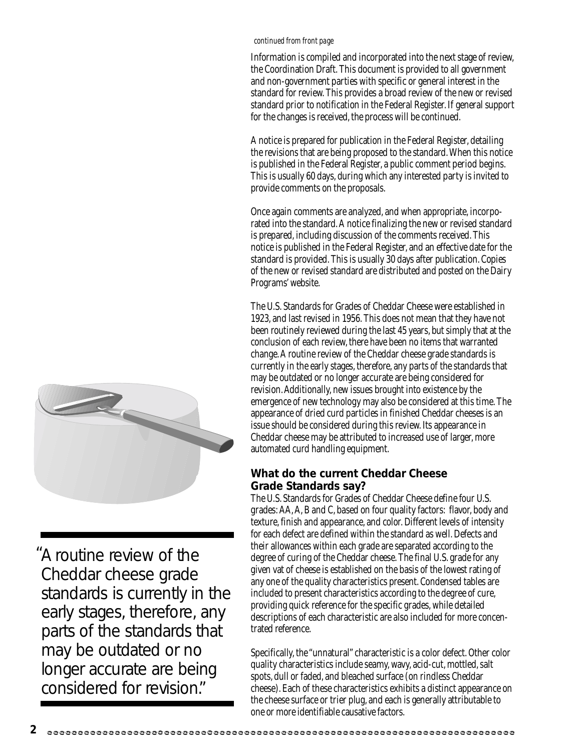#### *continued from front page*

Information is compiled and incorporated into the next stage of review, the Coordination Draft. This document is provided to all government and non-government parties with specific or general interest in the standard for review. This provides a broad review of the new or revised standard prior to notification in the Federal Register. If general support for the changes is received, the process will be continued.

A notice is prepared for publication in the Federal Register, detailing the revisions that are being proposed to the standard. When this notice is published in the Federal Register, a public comment period begins. This is usually 60 days, during which any interested party is invited to provide comments on the proposals.

Once again comments are analyzed, and when appropriate, incorporated into the standard. A notice finalizing the new or revised standard is prepared, including discussion of the comments received. This notice is published in the Federal Register, and an effective date for the standard is provided. This is usually 30 days after publication. Copies of the new or revised standard are distributed and posted on the Dairy Programs' website.

The U.S. Standards for Grades of Cheddar Cheese were established in 1923, and last revised in 1956. This does not mean that they have not been routinely reviewed during the last 45 years, but simply that at the conclusion of each review, there have been no items that warranted change. A routine review of the Cheddar cheese grade standards is currently in the early stages, therefore, any parts of the standards that may be outdated or no longer accurate are being considered for revision. Additionally, new issues brought into existence by the emergence of new technology may also be considered at this time. The appearance of dried curd particles in finished Cheddar cheeses is an issue should be considered during this review. Its appearance in Cheddar cheese may be attributed to increased use of larger, more automated curd handling equipment.

#### **What do the current Cheddar Cheese Grade Standards say?**

The U.S. Standards for Grades of Cheddar Cheese define four U.S. grades: AA, A, B and C, based on four quality factors: flavor, body and texture, finish and appearance, and color. Different levels of intensity for each defect are defined within the standard as well. Defects and their allowances within each grade are separated according to the degree of curing of the Cheddar cheese. The final U.S. grade for any given vat of cheese is established on the basis of the lowest rating of any one of the quality characteristics present. Condensed tables are included to present characteristics according to the degree of cure, providing quick reference for the specific grades, while detailed descriptions of each characteristic are also included for more concentrated reference.

Specifically, the "unnatural" characteristic is a color defect. Other color quality characteristics include seamy, wavy, acid-cut, mottled, salt spots, dull or faded, and bleached surface (on rindless Cheddar cheese). Each of these characteristics exhibits a distinct appearance on the cheese surface or trier plug, and each is generally attributable to one or more identifiable causative factors.



A routine review of the "Cheddar cheese grade standards is currently in the early stages, therefore, any parts of the standards that may be outdated or no longer accurate are being considered for revision."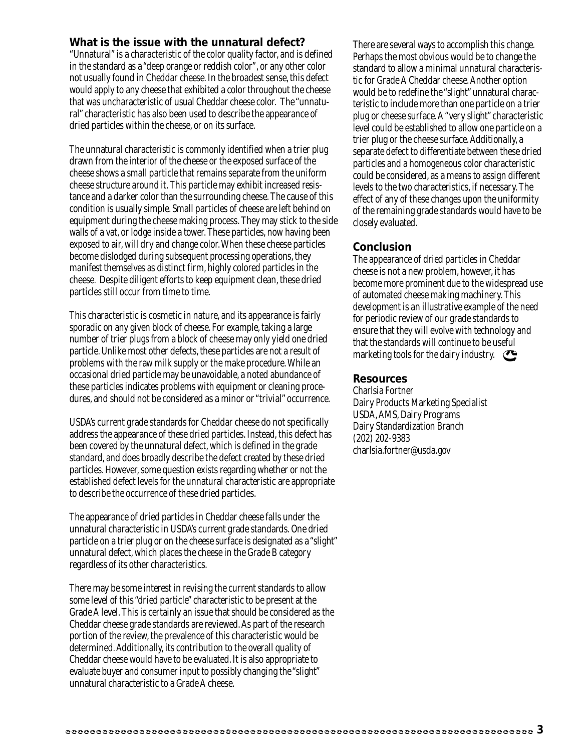#### **What is the issue with the unnatural defect?**

"Unnatural" is a characteristic of the color quality factor, and is defined in the standard as a "deep orange or reddish color", or any other color not usually found in Cheddar cheese. In the broadest sense, this defect would apply to any cheese that exhibited a color throughout the cheese that was uncharacteristic of usual Cheddar cheese color. The "unnatural" characteristic has also been used to describe the appearance of dried particles within the cheese, or on its surface.

The unnatural characteristic is commonly identified when a trier plug drawn from the interior of the cheese or the exposed surface of the cheese shows a small particle that remains separate from the uniform cheese structure around it. This particle may exhibit increased resistance and a darker color than the surrounding cheese. The cause of this condition is usually simple. Small particles of cheese are left behind on equipment during the cheese making process. They may stick to the side walls of a vat, or lodge inside a tower. These particles, now having been exposed to air, will dry and change color. When these cheese particles become dislodged during subsequent processing operations, they manifest themselves as distinct firm, highly colored particles in the cheese. Despite diligent efforts to keep equipment clean, these dried particles still occur from time to time.

This characteristic is cosmetic in nature, and its appearance is fairly sporadic on any given block of cheese. For example, taking a large number of trier plugs from a block of cheese may only yield one dried particle. Unlike most other defects, these particles are not a result of problems with the raw milk supply or the make procedure. While an occasional dried particle may be unavoidable, a noted abundance of these particles indicates problems with equipment or cleaning procedures, and should not be considered as a minor or "trivial" occurrence.

USDA's current grade standards for Cheddar cheese do not specifically address the appearance of these dried particles. Instead, this defect has been covered by the unnatural defect, which is defined in the grade standard, and does broadly describe the defect created by these dried particles. However, some question exists regarding whether or not the established defect levels for the unnatural characteristic are appropriate to describe the occurrence of these dried particles.

The appearance of dried particles in Cheddar cheese falls under the unnatural characteristic in USDA's current grade standards. One dried particle on a trier plug or on the cheese surface is designated as a "slight" unnatural defect, which places the cheese in the Grade B category regardless of its other characteristics.

There may be some interest in revising the current standards to allow some level of this "dried particle" characteristic to be present at the Grade A level. This is certainly an issue that should be considered as the Cheddar cheese grade standards are reviewed. As part of the research portion of the review, the prevalence of this characteristic would be determined. Additionally, its contribution to the overall quality of Cheddar cheese would have to be evaluated. It is also appropriate to evaluate buyer and consumer input to possibly changing the "slight" unnatural characteristic to a Grade A cheese.

There are several ways to accomplish this change. Perhaps the most obvious would be to change the standard to allow a minimal unnatural characteristic for Grade A Cheddar cheese. Another option would be to redefine the "slight" unnatural characteristic to include more than one particle on a trier plug or cheese surface. A "very slight" characteristic level could be established to allow one particle on a trier plug or the cheese surface. Additionally, a separate defect to differentiate between these dried particles and a homogeneous color characteristic could be considered, as a means to assign different levels to the two characteristics, if necessary. The effect of any of these changes upon the uniformity of the remaining grade standards would have to be closely evaluated.

#### **Conclusion**

The appearance of dried particles in Cheddar cheese is not a new problem, however, it has become more prominent due to the widespread use of automated cheese making machinery. This development is an illustrative example of the need for periodic review of our grade standards to ensure that they will evolve with technology and that the standards will continue to be useful marketing tools for the dairy industry.

#### **Resources**

Charlsia Fortner Dairy Products Marketing Specialist USDA, AMS, Dairy Programs Dairy Standardization Branch (202) 202-9383 charlsia.fortner@usda.gov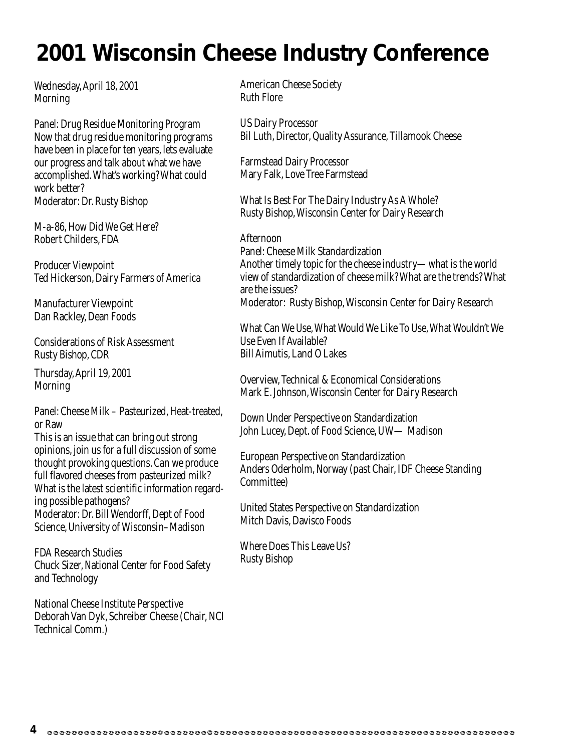# **2001 Wisconsin Cheese Industry Conference**

Wednesday, April 18, 2001 Morning

Panel: Drug Residue Monitoring Program Now that drug residue monitoring programs have been in place for ten years, lets evaluate our progress and talk about what we have accomplished. What's working? What could work better? Moderator: Dr. Rusty Bishop

M-a-86, How Did We Get Here? Robert Childers, FDA

Producer Viewpoint Ted Hickerson, Dairy Farmers of America

Manufacturer Viewpoint Dan Rackley, Dean Foods

Considerations of Risk Assessment Rusty Bishop, CDR

Thursday, April 19, 2001 Morning

Panel: Cheese Milk – Pasteurized, Heat-treated, or Raw

This is an issue that can bring out strong opinions, join us for a full discussion of some thought provoking questions. Can we produce full flavored cheeses from pasteurized milk? What is the latest scientific information regarding possible pathogens? Moderator: Dr. Bill Wendorff, Dept of Food Science, University of Wisconsin–Madison

FDA Research Studies Chuck Sizer, National Center for Food Safety and Technology

National Cheese Institute Perspective Deborah Van Dyk, Schreiber Cheese (Chair, NCI Technical Comm.)

American Cheese Society Ruth Flore

US Dairy Processor Bil Luth, Director, Quality Assurance, Tillamook Cheese

Farmstead Dairy Processor Mary Falk, Love Tree Farmstead

What Is Best For The Dairy Industry As A Whole? Rusty Bishop, Wisconsin Center for Dairy Research

Afternoon Panel: Cheese Milk Standardization Another timely topic for the cheese industry—what is the world view of standardization of cheese milk? What are the trends? What are the issues? Moderator: Rusty Bishop, Wisconsin Center for Dairy Research

What Can We Use, What Would We Like To Use, What Wouldn't We Use Even If Available? Bill Aimutis, Land O Lakes

Overview, Technical & Economical Considerations Mark E. Johnson, Wisconsin Center for Dairy Research

Down Under Perspective on Standardization John Lucey, Dept. of Food Science, UW— Madison

European Perspective on Standardization Anders Oderholm, Norway (past Chair, IDF Cheese Standing Committee)

United States Perspective on Standardization Mitch Davis, Davisco Foods

Where Does This Leave Us? Rusty Bishop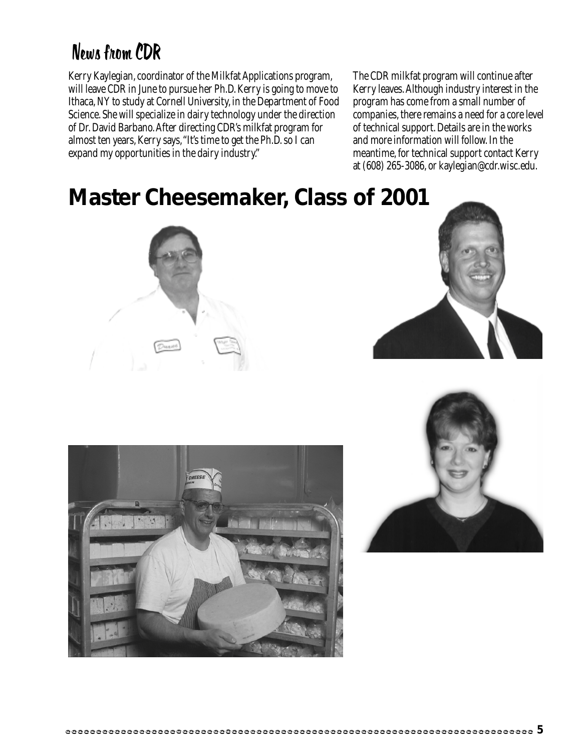### News from CDR

Kerry Kaylegian, coordinator of the Milkfat Applications program, will leave CDR in June to pursue her Ph.D. Kerry is going to move to Ithaca, NY to study at Cornell University, in the Department of Food Science. She will specialize in dairy technology under the direction of Dr. David Barbano. After directing CDR's milkfat program for almost ten years, Kerry says, "It's time to get the Ph.D. so I can expand my opportunities in the dairy industry."

The CDR milkfat program will continue after Kerry leaves. Although industry interest in the program has come from a small number of companies, there remains a need for a core level of technical support. Details are in the works and more information will follow. In the meantime, for technical support contact Kerry at (608) 265-3086, or kaylegian@cdr.wisc.edu.

### **Master Cheesemaker, Class of 2001**







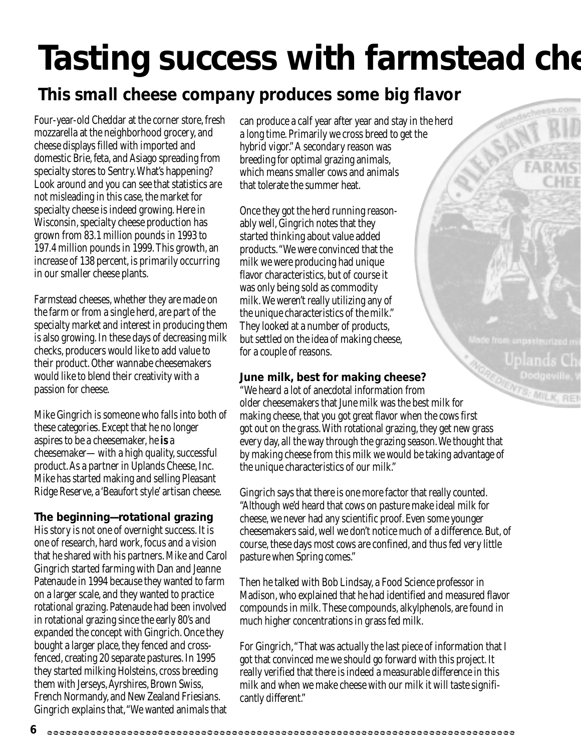# **Tasting success with farmstead che**

### *This small cheese company produces some big flavor*

Four-year-old Cheddar at the corner store, fresh mozzarella at the neighborhood grocery, and cheese displays filled with imported and domestic Brie, feta, and Asiago spreading from specialty stores to Sentry. What's happening? Look around and you can see that statistics are not misleading in this case, the market for specialty cheese is indeed growing. Here in Wisconsin, specialty cheese production has grown from 83.1 million pounds in 1993 to 197.4 million pounds in 1999. This growth, an increase of 138 percent, is primarily occurring in our smaller cheese plants.

Farmstead cheeses, whether they are made on the farm or from a single herd, are part of the specialty market and interest in producing them is also growing. In these days of decreasing milk checks, producers would like to add value to their product. Other wannabe cheesemakers would like to blend their creativity with a passion for cheese.

Mike Gingrich is someone who falls into both of these categories. Except that he no longer aspires to be a cheesemaker, he **is** a cheesemaker—with a high quality, successful product. As a partner in Uplands Cheese, Inc. Mike has started making and selling Pleasant Ridge Reserve, a 'Beaufort style' artisan cheese.

#### **The beginning—rotational grazing**

His story is not one of overnight success. It is one of research, hard work, focus and a vision that he shared with his partners. Mike and Carol Gingrich started farming with Dan and Jeanne Patenaude in 1994 because they wanted to farm on a larger scale, and they wanted to practice rotational grazing. Patenaude had been involved in rotational grazing since the early 80's and expanded the concept with Gingrich. Once they bought a larger place, they fenced and crossfenced, creating 20 separate pastures. In 1995 they started milking Holsteins, cross breeding them with Jerseys, Ayrshires, Brown Swiss, French Normandy, and New Zealand Friesians. Gingrich explains that, "We wanted animals that can produce a calf year after year and stay in the herd a long time. Primarily we cross breed to get the hybrid vigor." A secondary reason was breeding for optimal grazing animals, which means smaller cows and animals that tolerate the summer heat.

Once they got the herd running reasonably well, Gingrich notes that they started thinking about value added products. "We were convinced that the milk we were producing had unique flavor characteristics, but of course it was only being sold as commodity milk. We weren't really utilizing any of the unique characteristics of the milk." They looked at a number of products, but settled on the idea of making cheese, for a couple of reasons.

#### **June milk, best for making cheese?**

"We heard a lot of anecdotal information from older cheesemakers that June milk was the best milk for making cheese, that you got great flavor when the cows first got out on the grass. With rotational grazing, they get new grass every day, all the way through the grazing season. We thought that by making cheese from this milk we would be taking advantage of the unique characteristics of our milk."

Gingrich says that there is one more factor that really counted. "Although we'd heard that cows on pasture make ideal milk for cheese, we never had any scientific proof. Even some younger cheesemakers said, well we don't notice much of a difference. But, of course, these days most cows are confined, and thus fed very little pasture when Spring comes."

Then he talked with Bob Lindsay, a Food Science professor in Madison, who explained that he had identified and measured flavor compounds in milk. These compounds, alkylphenols, are found in much higher concentrations in grass fed milk.

For Gingrich, "That was actually the last piece of information that I got that convinced me we should go forward with this project. It really verified that there is indeed a measurable difference in this milk and when we make cheese with our milk it will taste significantly different."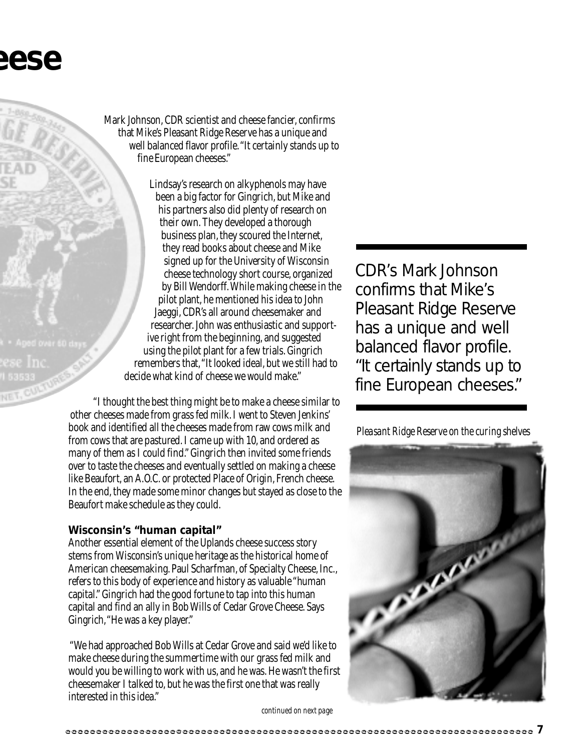# **eese**

Mark Johnson, CDR scientist and cheese fancier, confirms that Mike's Pleasant Ridge Reserve has a unique and well balanced flavor profile. "It certainly stands up to fine European cheeses."

Lindsay's research on alkyphenols may have been a big factor for Gingrich, but Mike and his partners also did plenty of research on their own. They developed a thorough business plan, they scoured the Internet, they read books about cheese and Mike signed up for the University of Wisconsin cheese technology short course, organized by Bill Wendorff. While making cheese in the pilot plant, he mentioned his idea to John Jaeggi, CDR's all around cheesemaker and researcher. John was enthusiastic and supportive right from the beginning, and suggested using the pilot plant for a few trials. Gingrich remembers that, "It looked ideal, but we still had to decide what kind of cheese we would make."

"I thought the best thing might be to make a cheese similar to other cheeses made from grass fed milk. I went to Steven Jenkins' book and identified all the cheeses made from raw cows milk and from cows that are pastured. I came up with 10, and ordered as many of them as I could find." Gingrich then invited some friends over to taste the cheeses and eventually settled on making a cheese like Beaufort, an A.O.C. or protected Place of Origin, French cheese. In the end, they made some minor changes but stayed as close to the Beaufort make schedule as they could.

#### **Wisconsin's "human capital"**

Another essential element of the Uplands cheese success story stems from Wisconsin's unique heritage as the historical home of American cheesemaking. Paul Scharfman, of Specialty Cheese, Inc., refers to this body of experience and history as valuable "human capital." Gingrich had the good fortune to tap into this human capital and find an ally in Bob Wills of Cedar Grove Cheese. Says Gingrich, "He was a key player."

 "We had approached Bob Wills at Cedar Grove and said we'd like to make cheese during the summertime with our grass fed milk and would you be willing to work with us, and he was. He wasn't the first cheesemaker I talked to, but he was the first one that was really interested in this idea."

CDR's Mark Johnson confirms that Mike's Pleasant Ridge Reserve has a unique and well balanced flavor profile. "It certainly stands up to fine European cheeses."

*Pleasant Ridge Reserve on the curing shelves*



*continued on next page*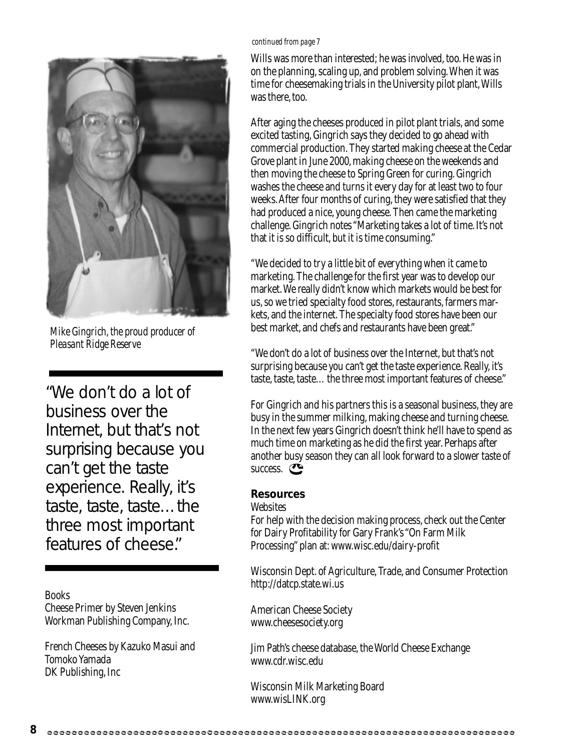

*Mike Gingrich, the proud producer of Pleasant Ridge Reserve*

"We don't do a lot of business over the Internet, but that's not surprising because you can't get the taste experience. Really, it's taste, taste, taste…the three most important features of cheese"

#### Books

Cheese Primer by Steven Jenkins Workman Publishing Company, Inc.

French Cheeses by Kazuko Masui and Tomoko Yamada DK Publishing, Inc

#### *continued from page 7*

Wills was more than interested; he was involved, too. He was in on the planning, scaling up, and problem solving. When it was time for cheesemaking trials in the University pilot plant, Wills was there, too.

After aging the cheeses produced in pilot plant trials, and some excited tasting, Gingrich says they decided to go ahead with commercial production. They started making cheese at the Cedar Grove plant in June 2000, making cheese on the weekends and then moving the cheese to Spring Green for curing. Gingrich washes the cheese and turns it every day for at least two to four weeks. After four months of curing, they were satisfied that they had produced a nice, young cheese. Then came the marketing challenge. Gingrich notes "Marketing takes a lot of time. It's not that it is so difficult, but it is time consuming."

"We decided to try a little bit of everything when it came to marketing. The challenge for the first year was to develop our market. We really didn't know which markets would be best for us, so we tried specialty food stores, restaurants, farmers markets, and the internet. The specialty food stores have been our best market, and chefs and restaurants have been great."

"We don't do a lot of business over the Internet, but that's not surprising because you can't get the taste experience. Really, it's taste, taste, taste...the three most important features of cheese."

For Gingrich and his partners this is a seasonal business, they are busy in the summer milking, making cheese and turning cheese. In the next few years Gingrich doesn't think he'll have to spend as much time on marketing as he did the first year. Perhaps after another busy season they can all look forward to a slower taste of success.

#### **Resources**

**Websites** 

For help with the decision making process, check out the Center for Dairy Profitability for Gary Frank's "On Farm Milk Processing" plan at: www.wisc.edu/dairy-profit

Wisconsin Dept. of Agriculture, Trade, and Consumer Protection http://datcp.state.wi.us

American Cheese Society www.cheesesociety.org

Jim Path's cheese database, the World Cheese Exchange www.cdr.wisc.edu

Wisconsin Milk Marketing Board www.wisLINK.org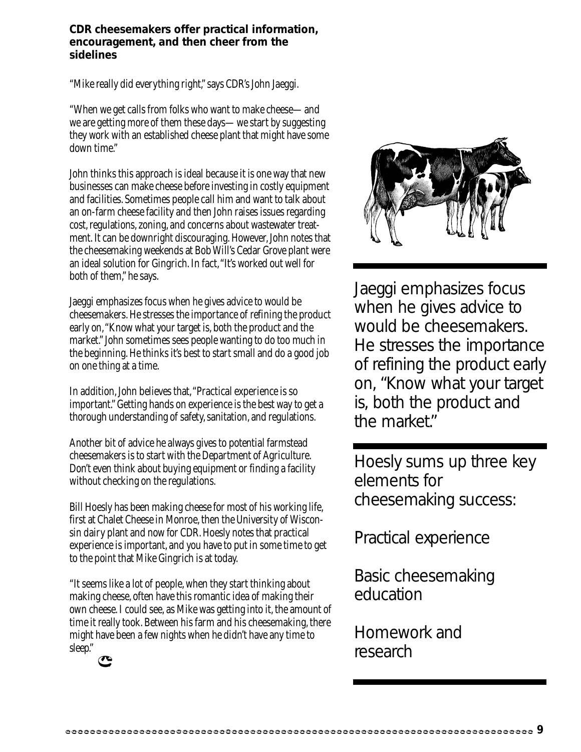**CDR cheesemakers offer practical information, encouragement, and then cheer from the sidelines**

"Mike really did everything right," says CDR's John Jaeggi.

"When we get calls from folks who want to make cheese—and we are getting more of them these days—we start by suggesting they work with an established cheese plant that might have some down time."

John thinks this approach is ideal because it is one way that new businesses can make cheese before investing in costly equipment and facilities. Sometimes people call him and want to talk about an on-farm cheese facility and then John raises issues regarding cost, regulations, zoning, and concerns about wastewater treatment. It can be downright discouraging. However, John notes that the cheesemaking weekends at Bob Will's Cedar Grove plant were an ideal solution for Gingrich. In fact, "It's worked out well for both of them," he says.

Jaeggi emphasizes focus when he gives advice to would be cheesemakers. He stresses the importance of refining the product early on, "Know what your target is, both the product and the market." John sometimes sees people wanting to do too much in the beginning. He thinks it's best to start small and do a good job on one thing at a time.

In addition, John believes that, "Practical experience is so important." Getting hands on experience is the best way to get a thorough understanding of safety, sanitation, and regulations.

Another bit of advice he always gives to potential farmstead cheesemakers is to start with the Department of Agriculture. Don't even think about buying equipment or finding a facility without checking on the regulations.

Bill Hoesly has been making cheese for most of his working life, first at Chalet Cheese in Monroe, then the University of Wisconsin dairy plant and now for CDR. Hoesly notes that practical experience is important, and you have to put in some time to get to the point that Mike Gingrich is at today.

"It seems like a lot of people, when they start thinking about making cheese, often have this romantic idea of making their own cheese. I could see, as Mike was getting into it, the amount of time it really took. Between his farm and his cheesemaking, there might have been a few nights when he didn't have any time to sleep."



Jaeggi emphasizes focus when he gives advice to would be cheesemakers. He stresses the importance of refining the product early on, "Know what your target is, both the product and the market."

Hoesly sums up three key elements for cheesemaking success:

Practical experience

Basic cheesemaking education

Homework and research

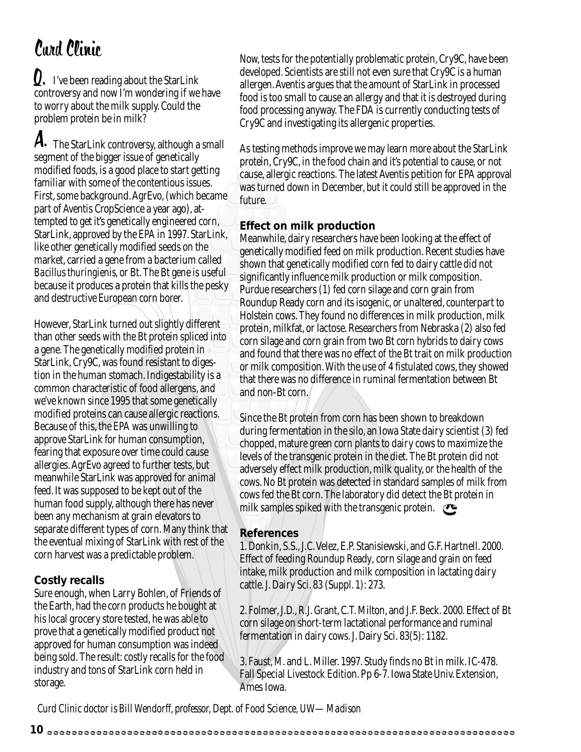# Curd Clinic

 $\textbf{Q}.$  I've been reading about the StarLink controversy and now I'm wondering if we have to worry about the milk supply. Could the problem protein be in milk?

 ${\boldsymbol A}.$  The StarLink controversy, although a small segment of the bigger issue of genetically modified foods, is a good place to start getting familiar with some of the contentious issues. First, some background. AgrEvo, (which became part of Aventis CropScience a year ago), attempted to get it's genetically engineered corn, StarLink, approved by the EPA in 1997. StarLink, like other genetically modified seeds on the market, carried a gene from a bacterium called *Bacillus thuringienis*, or Bt. The Bt gene is useful because it produces a protein that kills the pesky and destructive European corn borer.

However, StarLink turned out slightly different than other seeds with the Bt protein spliced into a gene. The genetically modified protein in StarLink, Cry9C, was found resistant to digestion in the human stomach. Indigestability is a common characteristic of food allergens, and we've known since 1995 that some genetically modified proteins can cause allergic reactions. Because of this, the EPA was unwilling to approve StarLink for human consumption, fearing that exposure over time could cause allergies. AgrEvo agreed to further tests, but meanwhile StarLink was approved for animal feed. It was supposed to be kept out of the human food supply, although there has never been any mechanism at grain elevators to separate different types of corn. Many think that the eventual mixing of StarLink with rest of the corn harvest was a predictable problem.

#### **Costly recalls**

Sure enough, when Larry Bohlen, of Friends of the Earth, had the corn products he bought at his local grocery store tested, he was able to prove that a genetically modified product not approved for human consumption was indeed being sold. The result: costly recalls for the food industry and tons of StarLink corn held in storage.

Now, tests for the potentially problematic protein, Cry9C, have been developed. Scientists are still not even sure that Cry9C is a human allergen. Aventis argues that the amount of StarLink in processed food is too small to cause an allergy and that it is destroyed during food processing anyway. The FDA is currently conducting tests of Cry9C and investigating its allergenic properties.

As testing methods improve we may learn more about the StarLink protein, Cry9C, in the food chain and it's potential to cause, or not cause, allergic reactions. The latest Aventis petition for EPA approval was turned down in December, but it could still be approved in the future.

#### **Effect on milk production**

Meanwhile, dairy researchers have been looking at the effect of genetically modified feed on milk production. Recent studies have shown that genetically modified corn fed to dairy cattle did not significantly influence milk production or milk composition. Purdue researchers (1) fed corn silage and corn grain from Roundup Ready corn and its isogenic, or unaltered, counterpart to Holstein cows. They found no differences in milk production, milk protein, milkfat, or lactose. Researchers from Nebraska (2) also fed corn silage and corn grain from two Bt corn hybrids to dairy cows and found that there was no effect of the Bt trait on milk production or milk composition. With the use of 4 fistulated cows, they showed that there was no difference in ruminal fermentation between Bt and non-Bt corn.

Since the Bt protein from corn has been shown to breakdown during fermentation in the silo, an Iowa State dairy scientist (3) fed chopped, mature green corn plants to dairy cows to maximize the levels of the transgenic protein in the diet. The Bt protein did not adversely effect milk production, milk quality, or the health of the cows. No Bt protein was detected in standard samples of milk from cows fed the Bt corn. The laboratory did detect the Bt protein in milk samples spiked with the transgenic protein.

#### **References**

1. Donkin, S.S., J.C. Velez, E.P. Stanisiewski, and G.F. Hartnell. 2000. Effect of feeding Roundup Ready, corn silage and grain on feed intake, milk production and milk composition in lactating dairy cattle. J. Dairy Sci. 83 (Suppl. 1): 273.

2. Folmer, J.D., R.J. Grant, C.T. Milton, and J.F. Beck. 2000. Effect of Bt corn silage on short-term lactational performance and ruminal fermentation in dairy cows. J. Dairy Sci. 83(5): 1182.

3. Faust, M. and L. Miller. 1997. Study finds no Bt in milk. IC-478. Fall Special Livestock Edition. Pp 6-7. Iowa State Univ. Extension, Ames Iowa.

*Curd Clinic doctor is Bill Wendorff, professor, Dept. of Food Science, UW—Madison*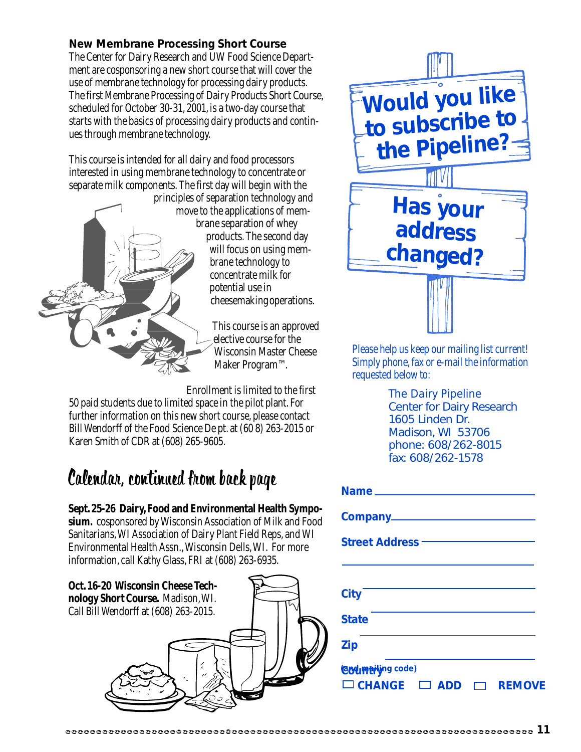#### **New Membrane Processing Short Course**

The Center for Dairy Research and UW Food Science Department are cosponsoring a new short course that will cover the use of membrane technology for processing dairy products. The first Membrane Processing of Dairy Products Short Course, scheduled for October 30-31, 2001, is a two-day course that starts with the basics of processing dairy products and continues through membrane technology.

This course is intended for all dairy and food processors interested in using membrane technology to concentrate or separate milk components. The first day will begin with the



principles of separation technology and move to the applications of membrane separation of whey products. The second day will focus on using membrane technology to concentrate milk for potential use in cheesemaking operations.

> This course is an approved elective course for the Wisconsin Master Cheese Maker Program™.

Enrollment is limited to the first 50 paid students due to limited space in the pilot plant. For further information on this new short course, please contact Bill Wendorff of the Food Science De pt. at (60 8) 263-2015 or Karen Smith of CDR at (608) 265-9605.

### Calendar, continued from back page

**Sept. 25-26 Dairy, Food and Environmental Health Symposium.** cosponsored by Wisconsin Association of Milk and Food Sanitarians, WI Association of Dairy Plant Field Reps, and WI Environmental Health Assn., Wisconsin Dells, WI. For more information, call Kathy Glass, FRI at (608) 263-6935.





Please help us keep our mailing list current! Simply phone, fax or e-mail the information requested below to:

> *The Dairy Pipeline* Center for Dairy Research 1605 Linden Dr. Madison, WI 53706 phone: 608/262-8015 fax: 608/262-1578

| Street Address – The Management of the Street Address – The Management of the Street Address (1976) |
|-----------------------------------------------------------------------------------------------------|
|                                                                                                     |
| <b>City</b>                                                                                         |
| <b>State</b>                                                                                        |
| <b>Zip</b>                                                                                          |
| <b>Codmation</b> code)<br>$\Box$ CHANGE $\Box$ ADD<br><b>REMOVE</b>                                 |